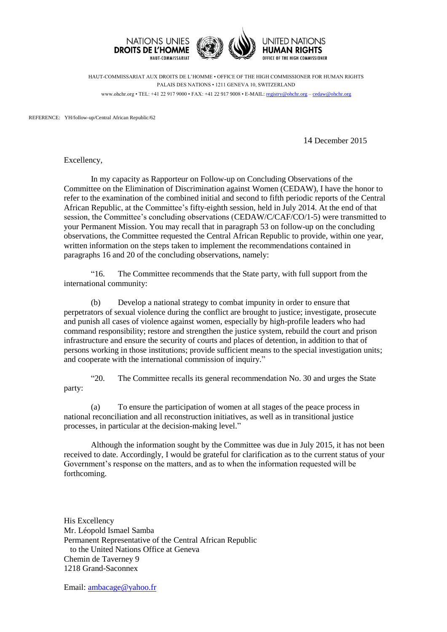

HAUT-COMMISSARIAT AUX DROITS DE L'HOMME • OFFICE OF THE HIGH COMMISSIONER FOR HUMAN RIGHTS PALAIS DES NATIONS • 1211 GENEVA 10, SWITZERLAND www.ohchr.org • TEL: +41 22 917 9000 • FAX: +41 22 917 9008 • E-MAIL: [registry@ohchr.org](mailto:registry@ohchr.org) – [cedaw@ohchr.org](mailto:cedaw@ohchr.org)

REFERENCE: YH/follow-up/Central African Republic/62

14 December 2015

Excellency,

In my capacity as Rapporteur on Follow-up on Concluding Observations of the Committee on the Elimination of Discrimination against Women (CEDAW), I have the honor to refer to the examination of the combined initial and second to fifth periodic reports of the Central African Republic, at the Committee's fifty-eighth session, held in July 2014. At the end of that session, the Committee's concluding observations (CEDAW/C/CAF/CO/1-5) were transmitted to your Permanent Mission. You may recall that in paragraph 53 on follow-up on the concluding observations, the Committee requested the Central African Republic to provide, within one year, written information on the steps taken to implement the recommendations contained in paragraphs 16 and 20 of the concluding observations, namely:

"16. The Committee recommends that the State party, with full support from the international community:

(b) Develop a national strategy to combat impunity in order to ensure that perpetrators of sexual violence during the conflict are brought to justice; investigate, prosecute and punish all cases of violence against women, especially by high-profile leaders who had command responsibility; restore and strengthen the justice system, rebuild the court and prison infrastructure and ensure the security of courts and places of detention, in addition to that of persons working in those institutions; provide sufficient means to the special investigation units; and cooperate with the international commission of inquiry."

"20. The Committee recalls its general recommendation No. 30 and urges the State party:

(a) To ensure the participation of women at all stages of the peace process in national reconciliation and all reconstruction initiatives, as well as in transitional justice processes, in particular at the decision-making level."

Although the information sought by the Committee was due in July 2015, it has not been received to date. Accordingly, I would be grateful for clarification as to the current status of your Government's response on the matters, and as to when the information requested will be forthcoming.

His Excellency Mr. Léopold Ismael Samba Permanent Representative of the Central African Republic to the United Nations Office at Geneva Chemin de Taverney 9 1218 Grand-Saconnex